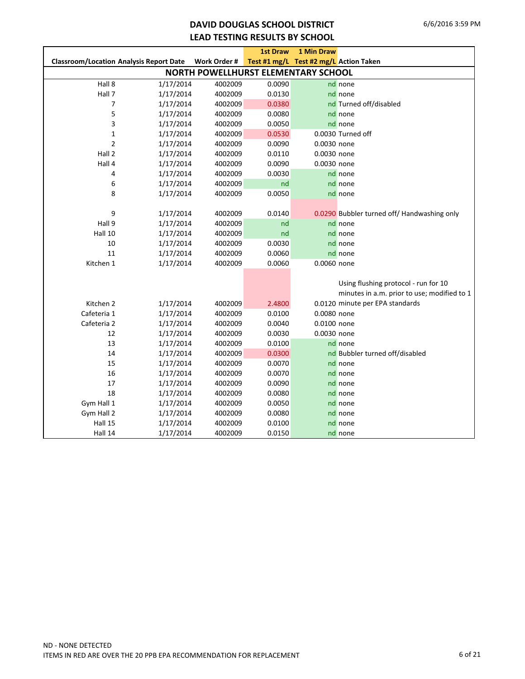### **DAVID DOUGLAS SCHOOL DISTRICT LEAD TESTING RESULTS BY SCHOOL**

|                                                |           |              | <b>1st Draw</b>                        | 1 Min Draw  |                                             |
|------------------------------------------------|-----------|--------------|----------------------------------------|-------------|---------------------------------------------|
| <b>Classroom/Location Analysis Report Date</b> |           | Work Order # | Test #1 mg/L Test #2 mg/L Action Taken |             |                                             |
|                                                |           |              | NORTH POWELLHURST ELEMENTARY SCHOOL    |             |                                             |
| Hall 8                                         | 1/17/2014 | 4002009      | 0.0090                                 |             | nd none                                     |
| Hall 7                                         | 1/17/2014 | 4002009      | 0.0130                                 |             | nd none                                     |
| 7                                              | 1/17/2014 | 4002009      | 0.0380                                 |             | nd Turned off/disabled                      |
| 5                                              | 1/17/2014 | 4002009      | 0.0080                                 |             | nd none                                     |
| 3                                              | 1/17/2014 | 4002009      | 0.0050                                 |             | nd none                                     |
| $\mathbf{1}$                                   | 1/17/2014 | 4002009      | 0.0530                                 |             | 0.0030 Turned off                           |
| $\overline{2}$                                 | 1/17/2014 | 4002009      | 0.0090                                 | 0.0030 none |                                             |
| Hall 2                                         | 1/17/2014 | 4002009      | 0.0110                                 | 0.0030 none |                                             |
| Hall 4                                         | 1/17/2014 | 4002009      | 0.0090                                 | 0.0030 none |                                             |
| 4                                              | 1/17/2014 | 4002009      | 0.0030                                 |             | nd none                                     |
| 6                                              | 1/17/2014 | 4002009      | nd                                     |             | nd none                                     |
| 8                                              | 1/17/2014 | 4002009      | 0.0050                                 |             | nd none                                     |
|                                                |           |              |                                        |             |                                             |
| 9                                              | 1/17/2014 | 4002009      | 0.0140                                 |             | 0.0290 Bubbler turned off/ Handwashing only |
| Hall 9                                         | 1/17/2014 | 4002009      | nd                                     |             | nd none                                     |
| Hall 10                                        | 1/17/2014 | 4002009      | nd                                     |             | nd none                                     |
| 10                                             | 1/17/2014 | 4002009      | 0.0030                                 |             | nd none                                     |
| 11                                             | 1/17/2014 | 4002009      | 0.0060                                 |             | nd none                                     |
| Kitchen 1                                      | 1/17/2014 | 4002009      | 0.0060                                 | 0.0060 none |                                             |
|                                                |           |              |                                        |             |                                             |
|                                                |           |              |                                        |             | Using flushing protocol - run for 10        |
|                                                |           |              |                                        |             | minutes in a.m. prior to use; modified to 1 |
| Kitchen 2                                      | 1/17/2014 | 4002009      | 2.4800                                 |             | 0.0120 minute per EPA standards             |
| Cafeteria 1                                    | 1/17/2014 | 4002009      | 0.0100                                 | 0.0080 none |                                             |
| Cafeteria 2                                    | 1/17/2014 | 4002009      | 0.0040                                 | 0.0100 none |                                             |
| 12                                             | 1/17/2014 | 4002009      | 0.0030                                 | 0.0030 none |                                             |
| 13                                             | 1/17/2014 | 4002009      | 0.0100                                 |             | nd none                                     |
| 14                                             | 1/17/2014 | 4002009      | 0.0300                                 |             | nd Bubbler turned off/disabled              |
| 15                                             | 1/17/2014 | 4002009      | 0.0070                                 |             | nd none                                     |
| 16                                             | 1/17/2014 | 4002009      | 0.0070                                 |             | nd none                                     |
| 17                                             | 1/17/2014 | 4002009      | 0.0090                                 |             | nd none                                     |
| 18                                             | 1/17/2014 | 4002009      | 0.0080                                 |             | nd none                                     |
| Gym Hall 1                                     | 1/17/2014 | 4002009      | 0.0050                                 |             | nd none                                     |
| Gym Hall 2                                     | 1/17/2014 | 4002009      | 0.0080                                 |             | nd none                                     |
| Hall 15                                        | 1/17/2014 | 4002009      | 0.0100                                 |             | nd none                                     |
| Hall 14                                        | 1/17/2014 | 4002009      | 0.0150                                 |             | nd none                                     |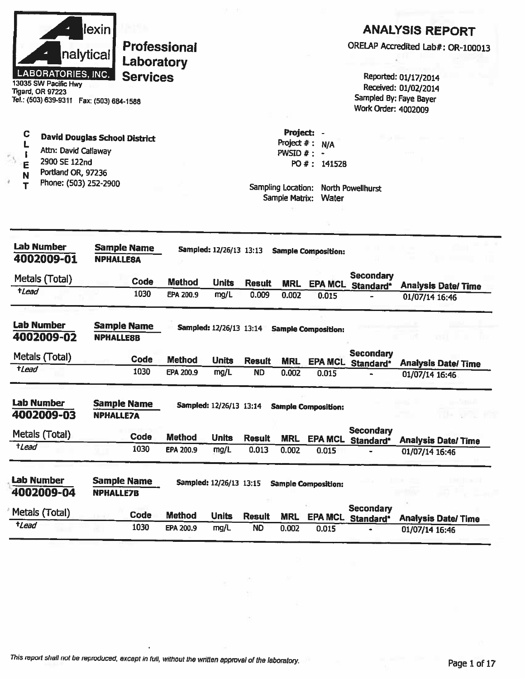|                                            | lexin            |                     |                            |                                |                            |                              |                            |                     | <b>ANALYSIS REPORT</b>                         |
|--------------------------------------------|------------------|---------------------|----------------------------|--------------------------------|----------------------------|------------------------------|----------------------------|---------------------|------------------------------------------------|
|                                            |                  |                     | <b>Professional</b>        |                                |                            |                              |                            |                     | ORELAP Accredited Lab#: OR-100013              |
|                                            | nalytical        | Laboratory          |                            |                                |                            |                              |                            |                     |                                                |
| LABORATORIES, INC.<br>13035 SW Pacific Hwy |                  | <b>Services</b>     |                            |                                |                            |                              |                            |                     | Reported: 01/17/2014                           |
| <b>Tigard, OR 97223</b>                    |                  |                     |                            |                                |                            |                              |                            |                     | Received: 01/02/2014<br>Sampled By: Faye Bayer |
| Tel.: (503) 639-9311  Fax: (503) 684-1588  |                  |                     |                            |                                |                            |                              |                            | Work Order: 4002009 |                                                |
|                                            |                  |                     |                            |                                |                            |                              |                            |                     |                                                |
| C<br><b>David Douglas School District</b>  |                  |                     |                            |                                |                            | Project $#$ :                | Project: -<br>N/A          |                     |                                                |
| Attn: David Callaway                       |                  |                     |                            |                                |                            | <b>PWSID <math>#</math>:</b> |                            |                     |                                                |
| 2900 SE 122nd<br>E<br>Portland OR, 97236   |                  |                     |                            |                                |                            |                              | PO #: 141528               |                     |                                                |
| N<br>Phone: (503) 252-2900                 |                  |                     |                            |                                |                            | Sampling Location:           |                            | North Powellhurst   |                                                |
|                                            |                  |                     |                            |                                |                            | Sample Matrix:               | Water                      |                     |                                                |
|                                            |                  |                     |                            |                                |                            |                              |                            |                     |                                                |
|                                            |                  |                     |                            |                                |                            |                              |                            |                     |                                                |
| <b>Lab Number</b>                          |                  | <b>Sample Name</b>  |                            | Sampled: 12/26/13 13:13        |                            |                              | <b>Sample Composition:</b> |                     |                                                |
| 4002009-01                                 | <b>NPHALLESA</b> |                     |                            |                                |                            |                              |                            |                     |                                                |
| Metals (Total)                             |                  | Code                | <b>Method</b>              | <b>Units</b>                   | <b>Result</b>              |                              |                            | <b>Secondary</b>    |                                                |
| $t$ Lead                                   |                  | 1030                | EPA 200.9                  | mg/L                           | 0.009                      | <b>MRL</b><br>0.002          | 0.015                      | EPA MCL Standard*   | <b>Analysis Date/Time</b><br>01/07/14 16:46    |
|                                            |                  |                     |                            |                                |                            |                              |                            |                     |                                                |
| <b>Lab Number</b>                          |                  | <b>Sample Name</b>  |                            | Sampled: 12/26/13 13:14        |                            |                              | <b>Sample Composition:</b> |                     |                                                |
| 4002009-02                                 | <b>NPHALLE8B</b> |                     |                            |                                |                            |                              |                            |                     |                                                |
| Metals (Total)                             |                  | Code                | <b>Method</b>              | <b>Units</b>                   |                            |                              |                            | <b>Secondary</b>    |                                                |
| tLead                                      |                  | 1030                | EPA 200.9                  | mg/L                           | <b>Result</b><br><b>ND</b> | <b>MRL</b><br>0.002          | 0.015                      | EPA MCL Standard*   | <b>Analysis Date/Time</b><br>01/07/14 16:46    |
|                                            |                  |                     |                            |                                |                            |                              |                            |                     |                                                |
| <b>Lab Number</b>                          |                  | <b>Sample Name</b>  |                            | <b>Sampled: 12/26/13 13:14</b> |                            |                              | <b>Sample Composition:</b> |                     | ten u                                          |
| 4002009-03                                 | <b>NPHALLE7A</b> |                     |                            |                                |                            |                              |                            |                     |                                                |
| Metals (Total)                             |                  |                     |                            |                                |                            |                              |                            | <b>Secondary</b>    |                                                |
| $t$ <i>Lead</i>                            |                  | <b>Code</b><br>1030 | <b>Method</b><br>EPA 200.9 | <b>Units</b><br>mg/L           | <b>Result</b><br>0.013     | <b>MRL</b>                   | <b>EPA MCL</b>             | Standard*           | <b>Analysis Date/Time</b>                      |
|                                            |                  |                     |                            |                                |                            | 0.002                        | 0.015                      |                     | 01/07/14 16:46                                 |
| <b>Lab Number</b>                          |                  | <b>Sample Name</b>  |                            |                                |                            |                              |                            |                     |                                                |
| 4002009-04                                 | <b>NPHALLE7B</b> |                     |                            | Sampled: 12/26/13 13:15        |                            |                              | <b>Sample Composition:</b> |                     |                                                |
|                                            |                  |                     |                            |                                |                            |                              |                            | <b>Secondary</b>    |                                                |
| Metals (Total)<br>tLead                    |                  | Code                | <b>Method</b>              | <b>Units</b>                   | <b>Result</b>              | <b>MRL</b>                   | <b>EPA MCL</b>             | Standard*           | <b>Analysis Date/Time</b>                      |
|                                            |                  | 1030                | EPA 200.9                  | mg/L                           | <b>ND</b>                  | 0.002                        | 0.015                      |                     | 01/07/14 16:46                                 |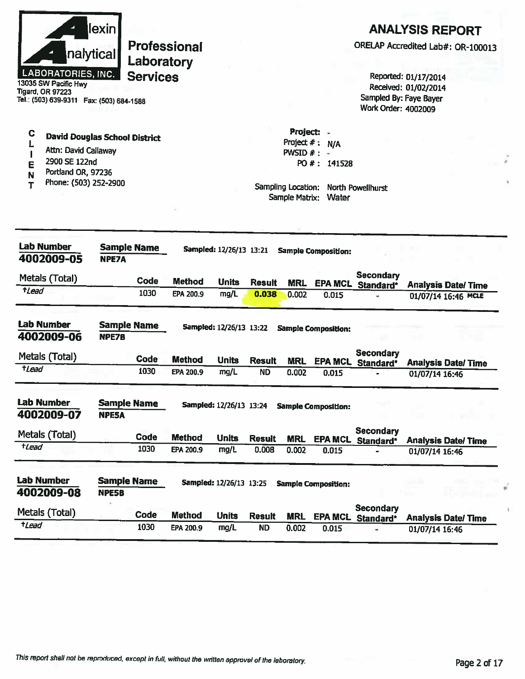|                      | llexin l                  |
|----------------------|---------------------------|
|                      | nalytical                 |
| 13035 SW Pacific Hwy | <b>LABORATORIES, INC.</b> |

Tel.: (503) 639-9311 Fax: (503) 684-1588

Attn: David Callaway

2900 SE 122nd

**David Douglas School District** 

**Tigard, OR 97223** 

C

L

 $\blacksquare$ 

E

**Professional** Laboratory **Services** 

# **ANALYSIS REPORT**

ORELAP Accredited Lab#: OR-100013

Reported: 01/17/2014 Received: 01/02/2014 Sampled By: Faye Bayer Work Order: 4002009

| ▄<br>Portland OR, 97236<br>N<br>Phone: (503) 252-2900<br>т |                                    |                    |               |                         |               | Sampling Location:<br>Sample Matrix: | Water                      | <b>North Powellhurst</b>      |                |                           |
|------------------------------------------------------------|------------------------------------|--------------------|---------------|-------------------------|---------------|--------------------------------------|----------------------------|-------------------------------|----------------|---------------------------|
| Lab Number<br>4002009-05                                   | <b>NPE7A</b>                       | <b>Sample Name</b> |               | Sampled: 12/26/13 13:21 |               |                                      | <b>Sample Composition:</b> |                               |                |                           |
| Metals (Total)                                             |                                    | Code               | <b>Method</b> | <b>Units</b>            | <b>Result</b> | <b>MRL</b>                           | <b>EPA MCL</b>             | Secondary<br>Standard*        |                | <b>Analysis Date/Time</b> |
| $t$ <i>Lead</i>                                            |                                    | 1030               | EPA 200.9     | mg/L                    | 0.038         | 0.002                                | 0.015                      |                               |                | 01/07/14 16:46 MCLE       |
| <b>Lab Number</b><br>4002009-06                            | <b>Sample Name</b><br><b>NPE7B</b> |                    |               | Sampled: 12/26/13 13:22 |               |                                      | <b>Sample Composition:</b> |                               |                |                           |
| Metals (Total)                                             |                                    | Code               | <b>Method</b> | <b>Units</b>            | <b>Result</b> | <b>MRL</b>                           | <b>EPA MCL</b>             | <b>Secondary</b><br>Standard* |                | <b>Analysis Date/Time</b> |
| $t$ <i>Lead</i>                                            |                                    | 1030               | EPA 200.9     | mg/L                    | <b>ND</b>     | 0.002                                | 0.015                      |                               | 01/07/14 16:46 |                           |
| <b>Lab Number</b><br>4002009-07                            | <b>Sample Name</b><br><b>NPE5A</b> |                    |               | Sampled: 12/26/13 13:24 |               |                                      | <b>Sample Composition:</b> |                               |                |                           |
| Metals (Total)                                             |                                    | Code               | <b>Method</b> | <b>Units</b>            | <b>Result</b> | <b>MRL</b>                           | <b>EPA MCL</b>             | <b>Secondary</b><br>Standard* |                | <b>Analysis Date/Time</b> |
| <b>t</b> Lead                                              |                                    | 1030               | EPA 200.9     | mg/L                    | 0.008         | 0.002                                | 0.015                      |                               | 01/07/14 16:46 |                           |
| <b>Lab Number</b><br>4002009-08                            | <b>Sample Name</b><br><b>NPE5B</b> |                    |               | Sampled: 12/26/13 13:25 |               |                                      | <b>Sample Composition:</b> |                               |                |                           |
| Metals (Total)                                             |                                    | Code               | <b>Method</b> | <b>Units</b>            | <b>Result</b> | <b>MRL</b>                           | <b>EPA MCL</b>             | <b>Secondary</b><br>Standard* |                | <b>Analysis Date/Time</b> |
| tLead                                                      |                                    | 1030               | EPA 200.9     | mg/L                    | <b>ND</b>     | 0.002                                | 0.015                      | ۰                             | 01/07/14 16:46 |                           |

Project: -

PWSID  $# : -$ 

Project  $# : N/A$ 

PO #: 141528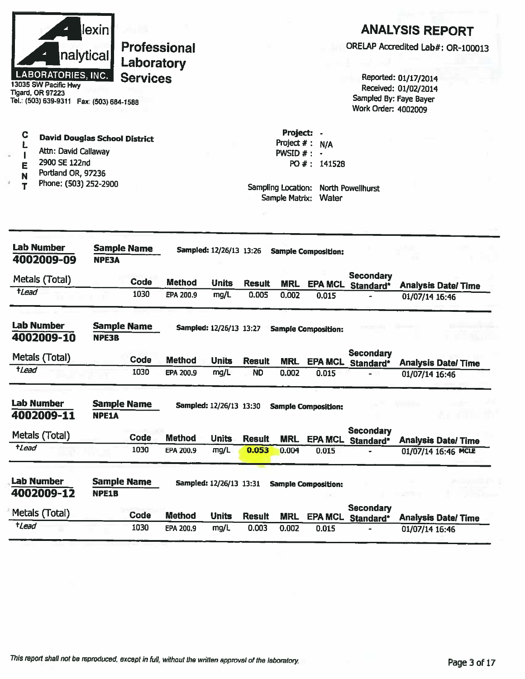|                       | nalytical<br><b>LABORATORIES, INC.</b><br>13035 SW Pacific Hwy<br>Tigard, OR 97223<br>Tel.: (503) 639-9311  Fax: (503) 684-1588 | <u>lexin </u> | <b>Professional</b><br>Laboratory<br><b>Services</b> |                                   |                                                 |                            |                                                            |                                                                      | Sampled By: Faye Bayer<br>Work Order: 4002009 | <b>ANALYSIS REPORT</b><br>ORELAP Accredited Lab#: OR-100013<br>Reported: 01/17/2014<br>Received: 01/02/2014 |
|-----------------------|---------------------------------------------------------------------------------------------------------------------------------|---------------|------------------------------------------------------|-----------------------------------|-------------------------------------------------|----------------------------|------------------------------------------------------------|----------------------------------------------------------------------|-----------------------------------------------|-------------------------------------------------------------------------------------------------------------|
| C<br>Ł<br>E<br>N<br>Т | <b>David Douglas School District</b><br>Attn: David Callaway<br>2900 SE 122nd<br>Portland OR, 97236<br>Phone: (503) 252-2900    |               |                                                      |                                   |                                                 |                            | Project:<br>Project $#$ :<br>PWSID $#$ :<br>Sample Matrix: | N/A<br>PO #: 141528<br>Sampling Location: North Powellhurst<br>Water |                                               |                                                                                                             |
| tLead                 | <b>Lab Number</b><br>4002009-09<br>Metals (Total)                                                                               | <b>NPE3A</b>  | <b>Sample Name</b><br>Code<br>1030                   | <b>Method</b><br>EPA 200.9        | Sampled: 12/26/13 13:26<br><b>Units</b><br>mg/L | <b>Result</b><br>0.005     | <b>MRL</b><br>0.002                                        | <b>Sample Composition:</b><br><b>EPA MCL</b><br>0.015                | <b>Secondary</b><br>Standard*                 | <b>Analysis Date/ Time</b><br>01/07/14 16:46                                                                |
|                       | <b>Lab Number</b><br>4002009-10<br>Metals (Total)                                                                               | NPE3B         | <b>Sample Name</b>                                   |                                   | Sampled: 12/26/13 13:27                         |                            |                                                            | <b>Sample Composition:</b>                                           | <b>Secondary</b>                              |                                                                                                             |
| tLead                 |                                                                                                                                 |               | <b>Code</b><br>1030                                  | <b>Method</b><br><b>EPA 200.9</b> | <b>Units</b><br>mg/L                            | <b>Result</b><br><b>ND</b> | <b>MRL</b><br>0.002                                        | <b>EPA MCL</b><br>0.015                                              | Standard*                                     | <b>Analysis Date/Time</b><br>01/07/14 16:46                                                                 |
|                       | <b>Lab Number</b><br>4002009-11                                                                                                 | <b>NPE1A</b>  | <b>Sample Name</b>                                   |                                   | Sampled: 12/26/13 13:30                         |                            |                                                            | <b>Sample Composition:</b>                                           |                                               |                                                                                                             |
|                       | Metals (Total)                                                                                                                  |               | Code                                                 | <b>Method</b>                     |                                                 |                            |                                                            |                                                                      | <b>Secondary</b>                              |                                                                                                             |
| <i><b>tLead</b></i>   |                                                                                                                                 |               | 1030                                                 | EPA 200.9                         | <b>Units</b><br>mg/L                            | <b>Result</b><br>0.053     | <b>MRL</b><br>0.004                                        | <b>EPA MCL</b><br>0.015                                              | Standard*                                     | <b>Analysis Date/Time</b><br>01/07/14 16:46 MCLE                                                            |
|                       | <b>Lab Number</b><br>4002009-12                                                                                                 | <b>NPE1B</b>  | <b>Sample Name</b>                                   |                                   | Sampled: 12/26/13 13:31                         |                            |                                                            | <b>Sample Composition:</b>                                           |                                               |                                                                                                             |
|                       | Metals (Total)                                                                                                                  |               | Code                                                 | <b>Method</b>                     | <b>Units</b>                                    | <b>Result</b>              | <b>MRL</b>                                                 | <b>EPA MCL</b>                                                       | <b>Secondary</b><br>Standard*                 | <b>Analysis Date/ Time</b>                                                                                  |
| <b>+Lead</b>          |                                                                                                                                 |               | 1030                                                 | EPA 200.9                         | mg/L                                            | 0.003                      | 0.002                                                      | 0.015                                                                |                                               | 01/07/14 16:46                                                                                              |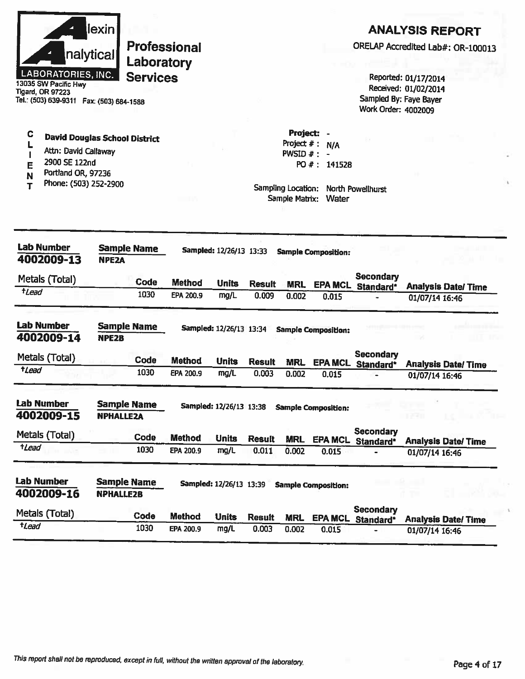| Tigard, OR 97223                | nalytical<br><b>LABORATORIES, INC.</b><br>13035 SW Pacific Hwy<br>Tel.: (503) 639-9311  Fax: (503) 684-1588                  | lexin                                  | Laboratory<br><b>Services</b> | Professional  |                         |               |                                                                                    |                              | ORELAP Accredited Lab#: OR-100013<br>Sampled By: Faye Bayer<br>Work Order: 4002009 | Reported: 01/17/2014<br>Received: 01/02/2014 | <b>ANALYSIS REPORT</b>    |  |
|---------------------------------|------------------------------------------------------------------------------------------------------------------------------|----------------------------------------|-------------------------------|---------------|-------------------------|---------------|------------------------------------------------------------------------------------|------------------------------|------------------------------------------------------------------------------------|----------------------------------------------|---------------------------|--|
| C<br>E<br>N                     | <b>David Douglas School District</b><br>Attn: David Callaway<br>2900 SE 122nd<br>Portland OR, 97236<br>Phone: (503) 252-2900 |                                        |                               |               |                         |               | Project: -<br>Project $#$ :<br>$PWSID$ # :<br>Sampling Location:<br>Sample Matrix: | N/A<br>PO #: 141528<br>Water | North Powellhurst                                                                  |                                              |                           |  |
| <b>Lab Number</b>               | 4002009-13                                                                                                                   | NPE <sub>2</sub> A                     | <b>Sample Name</b>            |               | Sampled: 12/26/13 13:33 |               |                                                                                    | <b>Sample Composition:</b>   |                                                                                    |                                              |                           |  |
| Metals (Total)                  |                                                                                                                              |                                        | Code                          | <b>Method</b> | <b>Units</b>            | <b>Result</b> | <b>MRL</b>                                                                         |                              | Secondary<br><b>EPA MCL Standard*</b>                                              |                                              | <b>Analysis Date/Time</b> |  |
| <i><b>tLead</b></i>             |                                                                                                                              |                                        | 1030                          | EPA 200.9     | mg/L                    | 0.009         | 0.002                                                                              | 0.015                        |                                                                                    | 01/07/14 16:46                               |                           |  |
| <b>Lab Number</b><br>4002009-14 |                                                                                                                              | <b>Sample Name</b><br><b>NPE2B</b>     |                               |               | Sampled: 12/26/13 13:34 |               |                                                                                    | <b>Sample Composition:</b>   |                                                                                    |                                              |                           |  |
| Metals (Total)                  |                                                                                                                              |                                        | Code                          | <b>Method</b> | <b>Units</b>            | <b>Result</b> | <b>MRL</b>                                                                         | <b>EPA MCL</b>               | Secondary<br>Standard*                                                             |                                              | <b>Analysis Date/Time</b> |  |
| <i><b>†Lead</b></i>             |                                                                                                                              |                                        | 1030                          | EPA 200.9     | mg/L                    | 0.003         | 0.002                                                                              | 0.015                        |                                                                                    | 01/07/14 16:46                               |                           |  |
| <b>Lab Number</b><br>4002009-15 |                                                                                                                              | <b>Sample Name</b><br><b>NPHALLEZA</b> |                               |               | Sampled: 12/26/13 13:38 |               |                                                                                    | <b>Sample Composition:</b>   |                                                                                    | n yan                                        |                           |  |
| Metals (Total)                  |                                                                                                                              |                                        | Code                          | <b>Method</b> | <b>Units</b>            | <b>Result</b> | <b>MRL</b>                                                                         |                              | <b>Secondary</b><br>EPA MCL Standard*                                              |                                              | <b>Analysis Date/Time</b> |  |
| $t$ <i>Lead</i>                 |                                                                                                                              |                                        | 1030                          | EPA 200.9     | mg/L                    | 0.011         | 0.002                                                                              | 0.015                        |                                                                                    | 01/07/14 16:46                               |                           |  |
| <b>Lab Number</b><br>4002009-16 |                                                                                                                              | <b>Sample Name</b><br><b>NPHALLE2B</b> |                               |               | Sampled: 12/26/13 13:39 |               |                                                                                    | <b>Sample Composition:</b>   |                                                                                    |                                              |                           |  |
| Metals (Total)                  |                                                                                                                              |                                        | Code                          | <b>Method</b> | <b>Units</b>            | <b>Result</b> | <b>MRL</b>                                                                         |                              | <b>Secondary</b><br>EPA MCL Standard*                                              |                                              | <b>Analysis Date/Time</b> |  |
| tLead                           |                                                                                                                              |                                        | 1030                          | EPA 200.9     | mg/L                    | 0.003         | 0.002                                                                              | 0.015                        |                                                                                    | 01/07/14 16:46                               |                           |  |

ı

ľ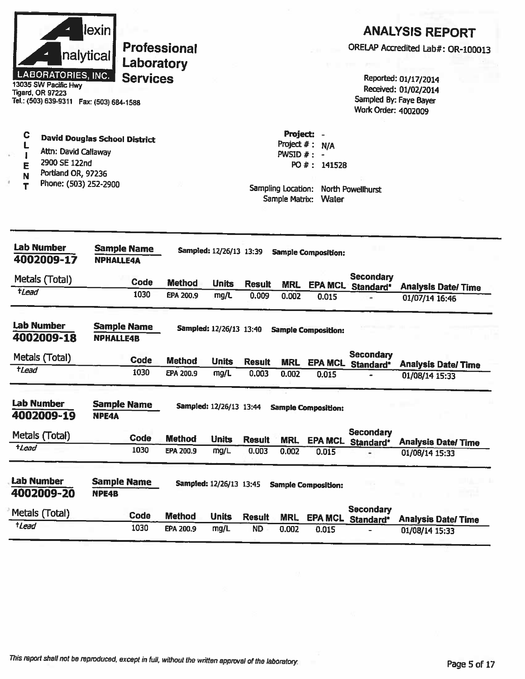|                     | <b>LABORATORIES, INC.</b><br>13035 SW Pacific Hwy<br>Tigard, OR 97223<br>Tel.: (503) 639-9311  Fax: (503) 684-1588 | lexin<br>nalytical                     | <b>Services</b> | <b>Professional</b><br>Laboratory |                                |               |                                                           |                                                                      | Work Order: 4002009           | <b>ANALYSIS REPORT</b><br>ORELAP Accredited Lab#: OR-100013<br>Reported: 01/17/2014<br>Received: 01/02/2014<br>Sampled By: Faye Bayer |
|---------------------|--------------------------------------------------------------------------------------------------------------------|----------------------------------------|-----------------|-----------------------------------|--------------------------------|---------------|-----------------------------------------------------------|----------------------------------------------------------------------|-------------------------------|---------------------------------------------------------------------------------------------------------------------------------------|
| C<br>E<br>N         | Attn: David Callaway<br>2900 SE 122nd<br>Portland OR, 97236<br>Phone: (503) 252-2900                               | <b>David Douglas School District</b>   |                 |                                   |                                |               | Project:<br>Project $#$ :<br>$PWSID$ #:<br>Sample Matrix: | N/A<br>PO #: 141528<br>Sampling Location: North Powellhurst<br>Water |                               |                                                                                                                                       |
|                     | Lab Number<br>4002009-17                                                                                           | <b>Sample Name</b><br><b>NPHALLE4A</b> |                 |                                   | Sampled: 12/26/13 13:39        |               |                                                           | <b>Sample Composition:</b>                                           |                               |                                                                                                                                       |
|                     | Metals (Total)                                                                                                     |                                        | <b>Code</b>     | <b>Method</b>                     | <b>Units</b>                   | <b>Result</b> | <b>MRL</b>                                                | <b>EPA MCL</b>                                                       | Secondary                     |                                                                                                                                       |
| <i><b>tLead</b></i> |                                                                                                                    |                                        | 1030            | EPA 200.9                         | mg/L                           | 0.009         | 0.002                                                     | 0.015                                                                | Standard*                     | <b>Analysis Date/ Time</b><br>01/07/14 16:46                                                                                          |
|                     | <b>Lab Number</b><br>4002009-18                                                                                    | <b>Sample Name</b><br><b>NPHALLE4B</b> |                 |                                   | Sampled: 12/26/13 13:40        |               |                                                           | <b>Sample Composition:</b>                                           |                               |                                                                                                                                       |
|                     | Metals (Total)                                                                                                     |                                        | Code            | <b>Method</b>                     | <b>Units</b>                   | <b>Result</b> | <b>MRL</b>                                                | <b>EPA MCL</b>                                                       | <b>Secondary</b><br>Standard* | <b>Analysis Date/Time</b>                                                                                                             |
| <i><b>†Lead</b></i> |                                                                                                                    |                                        | 1030            | EPA 200.9                         | mg/L                           | 0.003         | 0.002                                                     | 0.015                                                                |                               | 01/08/14 15:33                                                                                                                        |
|                     | <b>Lab Number</b><br>4002009-19                                                                                    | <b>Sample Name</b><br>NPE4A            |                 |                                   | <b>Sampled: 12/26/13 13:44</b> |               |                                                           | <b>Sample Composition:</b>                                           |                               |                                                                                                                                       |
|                     | Metals (Total)                                                                                                     |                                        | Code            | <b>Method</b>                     | <b>Units</b>                   | <b>Result</b> | <b>MRL</b>                                                |                                                                      | <b>Secondary</b>              |                                                                                                                                       |
| $t$ <i>Lead</i>     |                                                                                                                    |                                        | 1030            | EPA 200.9                         | mg/L                           | 0.003         | 0.002                                                     | 0.015                                                                | EPA MCL Standard*             | <b>Analysis Date/Time</b><br>01/08/14 15:33                                                                                           |
|                     | Lab Number<br>4002009-20                                                                                           | <b>Sample Name</b><br><b>NPE4B</b>     |                 |                                   | <b>Sampled: 12/26/13 13:45</b> |               |                                                           | <b>Sample Composition:</b>                                           |                               |                                                                                                                                       |
|                     | Metals (Total)                                                                                                     |                                        | Code            | <b>Method</b>                     | <b>Units</b>                   | <b>Result</b> | <b>MRL</b>                                                | <b>EPA MCL</b>                                                       | <b>Secondary</b><br>Standard* | <b>Analysis Date/Time</b>                                                                                                             |
| <i>tLead</i>        |                                                                                                                    |                                        | 1030            | EPA 200.9                         | mg/L                           | <b>ND</b>     | 0.002                                                     | 0.015                                                                |                               | 01/08/14 15:33                                                                                                                        |
|                     |                                                                                                                    |                                        |                 |                                   |                                |               |                                                           |                                                                      |                               |                                                                                                                                       |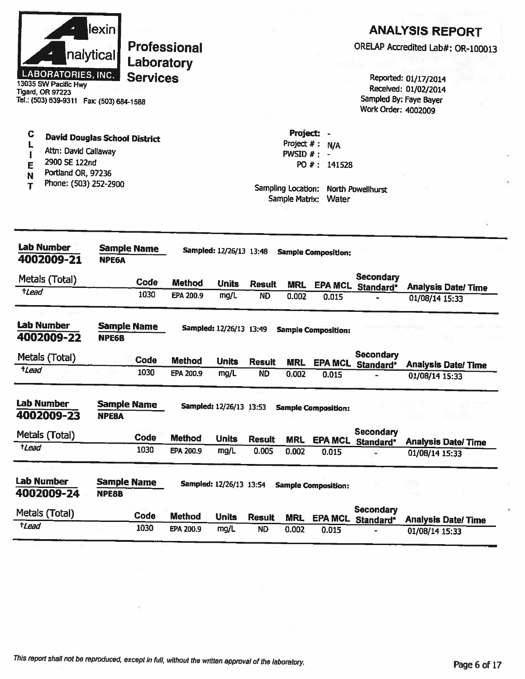|                      | llexin                    |
|----------------------|---------------------------|
|                      | nalytical                 |
|                      | <b>LABORATORIES, INC.</b> |
| 13035 SW Pacific Hwy |                           |

**ANALYSIS REPORT** 

ORELAP Accredited Lab#: OR-100013

Reported: 01/17/2014 Received: 01/02/2014 Sampled By: Faye Bayer Work Order: 4002009

Tigard, OR 97223 Tel.: (503) 639-9311 Fax: (503) 684-1588

- $\mathbf C$ **David Douglas School District** L
- Attn: David Callaway  $\pmb{\mathsf{I}}$
- 2900 SE 122nd E
- Portland OR, 97236 N
- Phone: (503) 252-2900  $T$

Project # : N/A PWSID  $#$  : -PO #: 141528

Project: -

| Lab Number<br>4002009-21        | <b>Sample Name</b><br><b>NPE6A</b> |               | Sampled: 12/26/13 13:48 |               |            | <b>Sample Composition:</b> |                               |                           |  |
|---------------------------------|------------------------------------|---------------|-------------------------|---------------|------------|----------------------------|-------------------------------|---------------------------|--|
| Metals (Total)                  | <b>Code</b>                        | <b>Method</b> | <b>Units</b>            | <b>Result</b> | <b>MRL</b> | <b>EPA MCL</b>             | <b>Secondary</b><br>Standard* | <b>Analysis Date/Time</b> |  |
| <b>t</b> Lead                   | 1030                               | EPA 200.9     | mg/L                    | <b>ND</b>     | 0.002      | 0.015                      |                               | 01/08/14 15:33            |  |
| Lab Number<br>4002009-22        | <b>Sample Name</b><br><b>NPE6B</b> |               | Sampled: 12/26/13 13:49 |               |            | <b>Sample Composition:</b> |                               |                           |  |
| Metals (Totai)                  | <b>Code</b>                        | <b>Method</b> | <b>Units</b>            | <b>Result</b> | <b>MRL</b> | <b>EPA MCL</b>             | <b>Secondary</b><br>Standard* | <b>Analysis Date/Time</b> |  |
| $t$ <i>Lead</i>                 | 1030                               | EPA 200.9     | mg/L                    | <b>ND</b>     | 0.002      | 0.015                      |                               | 01/08/14 15:33            |  |
| <b>Lab Number</b><br>4002009-23 | <b>Sample Name</b><br><b>NPEBA</b> |               | Sampled: 12/26/13 13:53 |               |            | <b>Sample Composition:</b> |                               |                           |  |
| Metals (Total)                  | <b>Code</b>                        | <b>Method</b> | <b>Units</b>            | <b>Result</b> | <b>MRL</b> | <b>EPA MCL</b>             | <b>Secondary</b><br>Standard* | <b>Analysis Date/Time</b> |  |
| tLead                           | 1030                               | EPA 200.9     | mg/L                    | 0.005         | 0.002      | 0.015                      |                               | 01/08/14 15:33            |  |
| <b>Lab Number</b><br>4002009-24 | <b>Sample Name</b><br><b>NPE8B</b> |               | Sampled: 12/26/13 13:54 |               |            | <b>Sample Composition:</b> |                               |                           |  |
| Metals (Total)                  | <b>Code</b>                        | <b>Method</b> | <b>Units</b>            | <b>Result</b> | <b>MRL</b> | <b>EPA MCL</b>             | <b>Secondary</b><br>Standard* | <b>Analysis Date/Time</b> |  |
| tLead                           | 1030                               | EPA 200.9     | mg/L                    | <b>ND</b>     | 0.002      | 0.015                      |                               | 01/08/14 15:33            |  |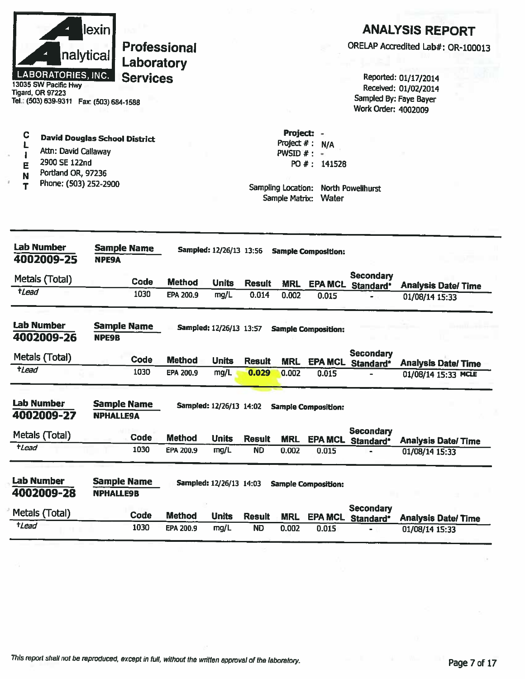|                                                                                                                    | lexin                                  |                  |                                |                            |                     |                                               |                                                   | <b>ANALYSIS REPORT</b>                           |
|--------------------------------------------------------------------------------------------------------------------|----------------------------------------|------------------|--------------------------------|----------------------------|---------------------|-----------------------------------------------|---------------------------------------------------|--------------------------------------------------|
|                                                                                                                    | <b>Professional</b>                    |                  |                                |                            |                     |                                               |                                                   | ORELAP Accredited Lab#: OR-100013                |
|                                                                                                                    | nalytical<br>Laboratory                |                  |                                |                            |                     |                                               |                                                   |                                                  |
| <b>LABORATORIES, INC.</b><br>13035 SW Pacific Hwy<br>Tigard, OR 97223<br>Tel.: (503) 639-9311  Fax: (503) 684-1588 | <b>Services</b>                        |                  |                                |                            |                     |                                               | Sampled By: Faye Bayer<br>Work Order: 4002009     | Reported: 01/17/2014<br>Received: 01/02/2014     |
|                                                                                                                    |                                        |                  |                                |                            | Project: -          |                                               |                                                   |                                                  |
| C                                                                                                                  | <b>David Douglas School District</b>   |                  |                                |                            | Project $#: N/A$    |                                               |                                                   |                                                  |
| Attn: David Callaway                                                                                               |                                        |                  |                                |                            | $PWSID$ #:          | ٠                                             |                                                   |                                                  |
| 2900 SE 122nd<br>E<br>Portland OR, 97236                                                                           |                                        |                  |                                |                            |                     | PO #: 141528                                  |                                                   |                                                  |
| N<br>Phone: (503) 252-2900<br>Т                                                                                    |                                        |                  |                                |                            | Sample Matrix:      | Sampling Location: North Powellhurst<br>Water |                                                   |                                                  |
| <b>Lab Number</b><br>4002009-25                                                                                    | <b>Sample Name</b><br><b>NPE9A</b>     |                  | <b>Sampled: 12/26/13 13:56</b> |                            |                     | <b>Sample Composition:</b>                    |                                                   |                                                  |
| Metals (Total)                                                                                                     | <b>Code</b>                            | <b>Method</b>    | <b>Units</b>                   | <b>Result</b>              |                     |                                               | <b>Secondary</b>                                  |                                                  |
| tLead                                                                                                              | 1030                                   | EPA 200.9        | mg/L                           | 0.014                      | <b>MRL</b><br>0.002 | <b>EPA MCL</b><br>0.015                       | Standard*                                         | <b>Analysis Date/Time</b><br>01/08/14 15:33      |
|                                                                                                                    |                                        |                  |                                |                            |                     |                                               |                                                   |                                                  |
| <b>Lab Number</b><br>4002009-26                                                                                    | <b>Sample Name</b><br><b>NPE9B</b>     |                  | <b>Sampled: 12/26/13 13:57</b> |                            |                     | <b>Sample Composition:</b>                    |                                                   |                                                  |
| Metals (Total)                                                                                                     | <b>Code</b>                            | <b>Method</b>    | <b>Units</b>                   | <b>Result</b>              | <b>MRL</b>          | <b>EPA MCL</b>                                | Secondary                                         |                                                  |
| $t$ Lead                                                                                                           | 1030                                   | <b>EPA 200.9</b> | mg/L                           | 0.029                      | 0.002               | 0.015                                         | Standard*                                         | <b>Analysis Date/Time</b><br>01/08/14 15:33 MCLE |
| <b>Lab Number</b><br>4002009-27                                                                                    | <b>Sample Name</b><br><b>NPHALLE9A</b> |                  | <b>Sampled: 12/26/13 14:02</b> |                            |                     | <b>Sample Composition:</b>                    |                                                   |                                                  |
| Metals (Total)                                                                                                     | <b>Code</b>                            | <b>Method</b>    |                                |                            |                     |                                               | <b>Secondary</b>                                  |                                                  |
| $t$ <i>Lead</i>                                                                                                    | 1030                                   | EPA 200.9        | <b>Units</b><br>mg/L           | <b>Result</b><br><b>ND</b> | <b>MRL</b><br>0.002 | 0.015                                         | EPA MCL Standard*<br>$\qquad \qquad \blacksquare$ | <b>Analysis Date/Time</b><br>01/08/14 15:33      |
|                                                                                                                    |                                        |                  |                                |                            |                     |                                               |                                                   |                                                  |
| <b>Lab Number</b><br>4002009-28                                                                                    | <b>Sample Name</b><br><b>NPHALLE9B</b> |                  | Sampled: 12/26/13 14:03        |                            |                     | <b>Sample Composition:</b>                    |                                                   |                                                  |
| Metals (Total)                                                                                                     | Code                                   | <b>Method</b>    | <b>Units</b>                   | <b>Result</b>              | <b>MRL</b>          | <b>EPA MCL</b>                                | <b>Secondary</b><br>Standard*                     | <b>Analysis Date/Time</b>                        |
| tLead                                                                                                              | 1030                                   | EPA 200.9        | mg/L                           | <b>ND</b>                  | 0.002               | 0.015                                         |                                                   | 01/08/14 15:33                                   |
|                                                                                                                    |                                        |                  |                                |                            |                     |                                               |                                                   |                                                  |

ì.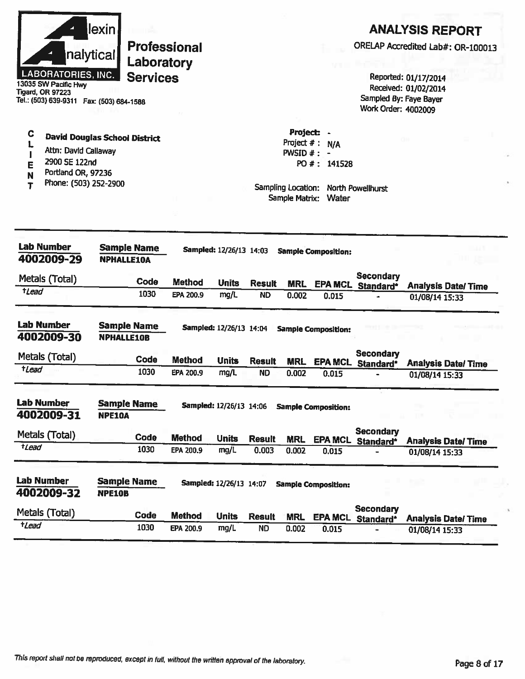| Project:<br>C<br><b>David Douglas School District</b><br>Project $#$ :<br><b>N/A</b><br>Attn: David Callaway<br>$PWSID$ #:<br>$\blacksquare$<br>2900 SE 122nd<br>PO #: 141528<br>Ē<br>Portland OR, 97236<br>N<br>Phone: (503) 252-2900<br>т<br>Sampling Location:<br>North Powellhurst<br>Sample Matrix:<br>Water<br><b>Lab Number</b><br><b>Sample Name</b><br>Sampled: 12/26/13 14:03<br><b>Sample Composition:</b><br>4002009-29<br><b>NPHALLE10A</b><br><b>Secondary</b><br>Metals (Total)<br>Code<br><b>Method</b><br><b>Units</b><br><b>Result</b><br><b>MRL</b><br><b>EPA MCL</b><br>Standard*<br><b>Analysis Date/Time</b><br><i><b>tLead</b></i><br>1030<br>mg/L<br>EPA 200.9<br><b>ND</b><br>0.002<br>0.015<br>01/08/14 15:33<br><b>Lab Number</b><br><b>Sample Name</b><br>Sampled: 12/26/13 14:04<br><b>Sample Composition:</b><br><b>NPHALLE10B</b><br><b>Secondary</b><br>Metals (Total)<br>Code<br><b>Method</b><br><b>Units</b><br><b>Result</b><br><b>MRL</b><br>EPA MCL Standard*<br><b>Analysis Date/ Time</b><br>tLead<br>1030<br>EPA 200.9<br>mg/L<br><b>ND</b><br>0.002<br>0.015<br>01/08/14 15:33<br><b>Sample Name</b><br>Sampled: 12/26/13 14:06<br><b>Sample Composition:</b><br><b>NPE10A</b><br><b>Secondary</b><br>Code<br><b>Method</b><br><b>Units</b><br><b>Result</b><br><b>MRL</b><br><b>EPA MCL</b><br>Standard*<br><b>Analysis Date/Time</b><br><i><b>tLead</b></i><br>1030<br>mg/L<br>EPA 200.9<br>0.003<br>0.002<br>0.015<br>01/08/14 15:33<br><b>Sample Name</b><br>Sampled: 12/26/13 14:07<br><b>Sample Composition:</b><br><b>NPE10B</b><br><b>Secondary</b><br>Code<br><b>Method</b><br><b>Units</b><br><b>Result</b><br><b>MRL</b><br><b>EPA MCL</b><br>Standard*<br><b>Analysis Date/Time</b><br>$t$ Lead<br>1030<br>mg/L<br><b>ND</b><br>EPA 200.9<br>0.002<br>0.015<br>01/08/14 15:33 | nalytical<br><b>LABORATORIES, INC.</b><br>13035 SW Pacific Hwy<br>Tigard, OR 97223<br>Tel.: (503) 639-9311  Fax: (503) 684-1588 | lexin | Laboratory<br><b>Services</b> | <b>Professional</b> |  |  | Sampled By: Faye Bayer<br>Work Order: 4002009 | <b>ANALYSIS REPORT</b><br>ORELAP Accredited Lab#: OR-100013<br>Reported: 01/17/2014<br>Received: 01/02/2014 |
|-------------------------------------------------------------------------------------------------------------------------------------------------------------------------------------------------------------------------------------------------------------------------------------------------------------------------------------------------------------------------------------------------------------------------------------------------------------------------------------------------------------------------------------------------------------------------------------------------------------------------------------------------------------------------------------------------------------------------------------------------------------------------------------------------------------------------------------------------------------------------------------------------------------------------------------------------------------------------------------------------------------------------------------------------------------------------------------------------------------------------------------------------------------------------------------------------------------------------------------------------------------------------------------------------------------------------------------------------------------------------------------------------------------------------------------------------------------------------------------------------------------------------------------------------------------------------------------------------------------------------------------------------------------------------------------------------------------------------------------------------------------------------------------------------------------------------------------|---------------------------------------------------------------------------------------------------------------------------------|-------|-------------------------------|---------------------|--|--|-----------------------------------------------|-------------------------------------------------------------------------------------------------------------|
| 4002009-30<br><b>Lab Number</b><br>4002009-31<br>Metals (Total)<br>Metals (Total)                                                                                                                                                                                                                                                                                                                                                                                                                                                                                                                                                                                                                                                                                                                                                                                                                                                                                                                                                                                                                                                                                                                                                                                                                                                                                                                                                                                                                                                                                                                                                                                                                                                                                                                                                   |                                                                                                                                 |       |                               |                     |  |  |                                               |                                                                                                             |
|                                                                                                                                                                                                                                                                                                                                                                                                                                                                                                                                                                                                                                                                                                                                                                                                                                                                                                                                                                                                                                                                                                                                                                                                                                                                                                                                                                                                                                                                                                                                                                                                                                                                                                                                                                                                                                     |                                                                                                                                 |       |                               |                     |  |  |                                               |                                                                                                             |
|                                                                                                                                                                                                                                                                                                                                                                                                                                                                                                                                                                                                                                                                                                                                                                                                                                                                                                                                                                                                                                                                                                                                                                                                                                                                                                                                                                                                                                                                                                                                                                                                                                                                                                                                                                                                                                     |                                                                                                                                 |       |                               |                     |  |  |                                               |                                                                                                             |
|                                                                                                                                                                                                                                                                                                                                                                                                                                                                                                                                                                                                                                                                                                                                                                                                                                                                                                                                                                                                                                                                                                                                                                                                                                                                                                                                                                                                                                                                                                                                                                                                                                                                                                                                                                                                                                     |                                                                                                                                 |       |                               |                     |  |  |                                               |                                                                                                             |
|                                                                                                                                                                                                                                                                                                                                                                                                                                                                                                                                                                                                                                                                                                                                                                                                                                                                                                                                                                                                                                                                                                                                                                                                                                                                                                                                                                                                                                                                                                                                                                                                                                                                                                                                                                                                                                     |                                                                                                                                 |       |                               |                     |  |  |                                               |                                                                                                             |
|                                                                                                                                                                                                                                                                                                                                                                                                                                                                                                                                                                                                                                                                                                                                                                                                                                                                                                                                                                                                                                                                                                                                                                                                                                                                                                                                                                                                                                                                                                                                                                                                                                                                                                                                                                                                                                     |                                                                                                                                 |       |                               |                     |  |  |                                               |                                                                                                             |
| <b>Lab Number</b><br>4002009-32                                                                                                                                                                                                                                                                                                                                                                                                                                                                                                                                                                                                                                                                                                                                                                                                                                                                                                                                                                                                                                                                                                                                                                                                                                                                                                                                                                                                                                                                                                                                                                                                                                                                                                                                                                                                     |                                                                                                                                 |       |                               |                     |  |  |                                               |                                                                                                             |
|                                                                                                                                                                                                                                                                                                                                                                                                                                                                                                                                                                                                                                                                                                                                                                                                                                                                                                                                                                                                                                                                                                                                                                                                                                                                                                                                                                                                                                                                                                                                                                                                                                                                                                                                                                                                                                     |                                                                                                                                 |       |                               |                     |  |  |                                               |                                                                                                             |
|                                                                                                                                                                                                                                                                                                                                                                                                                                                                                                                                                                                                                                                                                                                                                                                                                                                                                                                                                                                                                                                                                                                                                                                                                                                                                                                                                                                                                                                                                                                                                                                                                                                                                                                                                                                                                                     |                                                                                                                                 |       |                               |                     |  |  |                                               |                                                                                                             |
|                                                                                                                                                                                                                                                                                                                                                                                                                                                                                                                                                                                                                                                                                                                                                                                                                                                                                                                                                                                                                                                                                                                                                                                                                                                                                                                                                                                                                                                                                                                                                                                                                                                                                                                                                                                                                                     |                                                                                                                                 |       |                               |                     |  |  |                                               |                                                                                                             |
|                                                                                                                                                                                                                                                                                                                                                                                                                                                                                                                                                                                                                                                                                                                                                                                                                                                                                                                                                                                                                                                                                                                                                                                                                                                                                                                                                                                                                                                                                                                                                                                                                                                                                                                                                                                                                                     |                                                                                                                                 |       |                               |                     |  |  |                                               |                                                                                                             |
|                                                                                                                                                                                                                                                                                                                                                                                                                                                                                                                                                                                                                                                                                                                                                                                                                                                                                                                                                                                                                                                                                                                                                                                                                                                                                                                                                                                                                                                                                                                                                                                                                                                                                                                                                                                                                                     |                                                                                                                                 |       |                               |                     |  |  |                                               |                                                                                                             |
|                                                                                                                                                                                                                                                                                                                                                                                                                                                                                                                                                                                                                                                                                                                                                                                                                                                                                                                                                                                                                                                                                                                                                                                                                                                                                                                                                                                                                                                                                                                                                                                                                                                                                                                                                                                                                                     |                                                                                                                                 |       |                               |                     |  |  |                                               |                                                                                                             |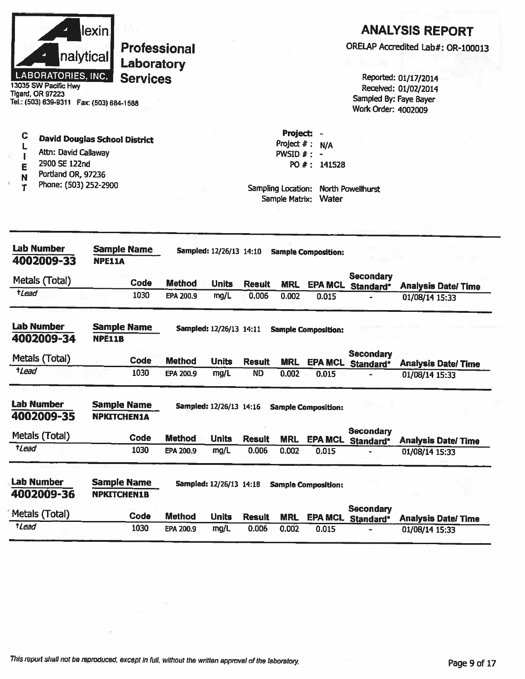|                                                                                                                 | lexin!                                   |                               |                                |                        |                                      |                            |                                                      | <b>ANALYSIS REPORT</b>                       |
|-----------------------------------------------------------------------------------------------------------------|------------------------------------------|-------------------------------|--------------------------------|------------------------|--------------------------------------|----------------------------|------------------------------------------------------|----------------------------------------------|
|                                                                                                                 | nalytical                                | <b>Professional</b>           |                                |                        |                                      |                            |                                                      | ORELAP Accredited Lab#: OR-100013            |
| <b>LABORATORIES, INC.</b><br>13035 SW Pacific Hwy<br><b>Tigard, OR 97223</b>                                    |                                          | Laboratory<br><b>Services</b> |                                |                        |                                      |                            |                                                      | Reported: 01/17/2014<br>Received: 01/02/2014 |
| Tel.: (503) 639-9311  Fax: (503) 684-1588                                                                       |                                          |                               |                                |                        |                                      |                            | Sampled By: Faye Bayer<br><b>Work Order: 4002009</b> |                                              |
| C                                                                                                               | <b>David Douglas School District</b>     |                               |                                |                        | <b>Project:</b>                      |                            |                                                      |                                              |
| Attn: David Callaway                                                                                            |                                          |                               |                                |                        | Project #:<br>PWSID $# : -$          | N/A                        |                                                      |                                              |
| 2900 SE 122nd<br>Е<br>Portland OR, 97236                                                                        |                                          |                               |                                |                        |                                      | PO #: 141528               |                                                      |                                              |
| N<br>Phone: (503) 252-2900<br>т                                                                                 |                                          |                               |                                |                        | Sampling Location:<br>Sample Matrix: | Water                      | North Powellhurst                                    |                                              |
|                                                                                                                 |                                          |                               |                                |                        |                                      |                            |                                                      |                                              |
| <b>Lab Number</b><br>4002009-33                                                                                 | <b>Sample Name</b><br><b>NPE11A</b>      |                               | Sampled: 12/26/13 14:10        |                        |                                      | <b>Sample Composition:</b> |                                                      |                                              |
| Metals (Total)                                                                                                  |                                          |                               |                                |                        |                                      |                            | <b>Secondary</b>                                     |                                              |
| $t$ <i>Lead</i>                                                                                                 | Code<br>1030                             | <b>Method</b><br>EPA 200.9    | <b>Units</b><br>mg/L           | <b>Result</b><br>0.006 | <b>MRL</b><br>0.002                  | <b>EPA MCL</b><br>0.015    | Standard*                                            | <b>Analysis Date/Time</b>                    |
|                                                                                                                 |                                          |                               |                                |                        |                                      |                            |                                                      | 01/08/14 15:33                               |
| <b>Lab Number</b><br>4002009-34                                                                                 | <b>Sample Name</b><br><b>NPE11B</b>      |                               | Sampled: 12/26/13 14:11        |                        |                                      | <b>Sample Composition:</b> |                                                      |                                              |
|                                                                                                                 |                                          |                               |                                |                        |                                      |                            | <b>Secondary</b>                                     |                                              |
| Metals (Total)                                                                                                  | Code                                     | <b>Method</b>                 | <b>Units</b>                   | <b>Result</b>          | <b>MRL</b>                           | <b>EPA MCL</b>             | Standard*                                            | <b>Analysis Date/Time</b>                    |
| <i><b>tLead</b></i>                                                                                             | 1030                                     | EPA 200.9                     | mg/L                           | <b>ND</b>              | 0.002                                | 0.015                      |                                                      | 01/08/14 15:33                               |
|                                                                                                                 |                                          |                               |                                |                        |                                      |                            |                                                      |                                              |
|                                                                                                                 |                                          |                               |                                |                        |                                      |                            |                                                      |                                              |
|                                                                                                                 | <b>Sample Name</b><br><b>NPKITCHEN1A</b> |                               | <b>Sampled: 12/26/13 14:16</b> |                        |                                      | <b>Sample Composition:</b> |                                                      |                                              |
|                                                                                                                 |                                          |                               |                                |                        |                                      |                            | Secondary                                            |                                              |
|                                                                                                                 | Code<br>1030                             | <b>Method</b><br>EPA 200.9    | <b>Units</b><br>mg/L           | <b>Result</b><br>0.006 | <b>MRL</b><br>0.002                  | <b>EPA MCL</b><br>0.015    | Standard*                                            | <b>Analysis Date/ Time</b><br>01/08/14 15:33 |
|                                                                                                                 |                                          |                               |                                |                        |                                      |                            |                                                      |                                              |
|                                                                                                                 | <b>Sample Name</b>                       |                               | Sampled: 12/26/13 14:18        |                        |                                      | <b>Sample Composition:</b> |                                                      |                                              |
| tLead                                                                                                           | <b>NPKITCHEN1B</b>                       |                               |                                |                        |                                      |                            | <b>Secondary</b>                                     |                                              |
| <b>Lab Number</b><br>4002009-35<br>Metals (Total)<br><b>Lab Number</b><br>4002009-36<br>Metals (Total)<br>+Lead | Code<br>1030                             | <b>Method</b><br>EPA 200.9    | <b>Units</b><br>mg/L           | <b>Result</b><br>0.006 | <b>MRL</b><br>0.002                  | 0.015                      | EPA MCL Standard*                                    | <b>Analysis Date/Time</b><br>01/08/14 15:33  |

 $\mathcal{A}_{\mathcal{A}}$ 

 $\mu = 2$  .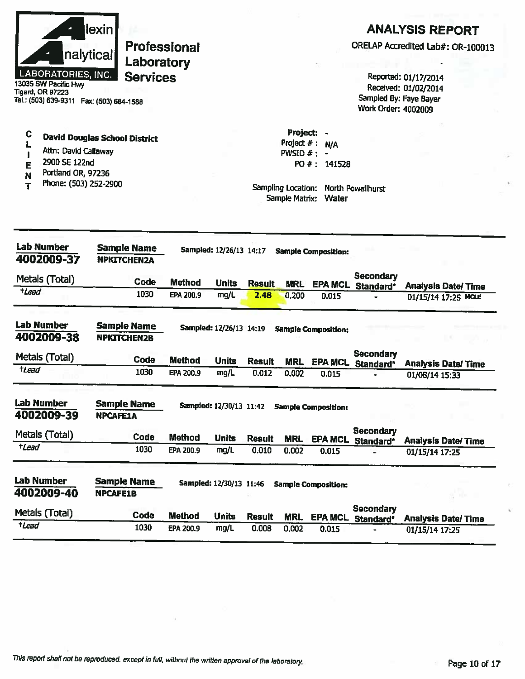

13035 SW Pacific Hwy<br>Tigard, OR 97223 Tel.: (503) 639-9311 Fax: (503) 684-1588 **ANALYSIS REPORT** 

ORELAP Accredited Lab#: OR-100013

Reported: 01/17/2014 Received: 01/02/2014 Sampled By: Faye Bayer Work Order: 4002009

- $\mathbf c$ **David Douglas School District** L
- Attn: David Callaway  $\pmb{\mathsf{I}}$
- 2900 SE 122nd E
- Portland OR, 97236 N
- Phone: (503) 252-2900  $T$

Project  $# : N/A$ PWSID  $#$  : -PO #: 141528

Project: -

| Lab Number<br>4002009-37        | <b>Sample Name</b><br><b>NPKITCHEN2A</b> |               | Sampled: 12/26/13 14:17 |               |            | <b>Sample Composition:</b> |                               |                           |
|---------------------------------|------------------------------------------|---------------|-------------------------|---------------|------------|----------------------------|-------------------------------|---------------------------|
| Metals (Total)                  | Code                                     | <b>Method</b> | <b>Units</b>            | <b>Result</b> | <b>MRL</b> | <b>EPA MCL</b>             | Secondary<br>Standard*        | <b>Analysis Date/Time</b> |
| $t$ Lead                        | 1030                                     | EPA 200.9     | mg/L                    | 2.48          | 0.200      | 0.015                      |                               | 01/15/14 17:25 MCLE       |
| <b>Lab Number</b><br>4002009-38 | <b>Sample Name</b><br><b>NPKITCHEN2B</b> |               | Sampled: 12/26/13 14:19 |               |            | <b>Sample Composition:</b> |                               |                           |
| Metals (Total)                  | Code                                     | <b>Method</b> | <b>Units</b>            | <b>Result</b> | <b>MRL</b> | <b>EPA MCL</b>             | <b>Secondary</b><br>Standard* | <b>Analysis Date/Time</b> |
| tlead                           | 1030                                     | EPA 200.9     | mg/L                    | 0.012         | 0.002      | 0.015                      |                               | 01/08/14 15:33            |
| <b>Lab Number</b><br>4002009-39 | <b>Sample Name</b><br><b>NPCAFE1A</b>    |               | Sampled: 12/30/13 11:42 |               |            | <b>Sample Composition:</b> |                               |                           |
| Metals (Total)                  | Code                                     | <b>Method</b> | <b>Units</b>            | <b>Result</b> | <b>MRL</b> | <b>EPA MCL</b>             | Secondary<br>Standard*        | <b>Analysis Date/Time</b> |
| tLead                           | 1030                                     | EPA 200.9     | mg/L                    | 0.010         | 0.002      | 0.015                      |                               | 01/15/14 17:25            |
| Lab Number<br>4002009-40        | <b>Sample Name</b><br><b>NPCAFE1B</b>    |               | Sampled: 12/30/13 11:46 |               |            | <b>Sample Composition:</b> |                               |                           |
| Metals (Total)                  | Code                                     | <b>Method</b> | <b>Units</b>            | <b>Result</b> | <b>MRL</b> | <b>EPA MCL</b>             | <b>Secondary</b><br>Standard* | <b>Analysis Date/Time</b> |
| tLead                           | 1030                                     | EPA 200.9     | mg/L                    | 0.008         | 0.002      | 0.015                      |                               | 01/15/14 17:25            |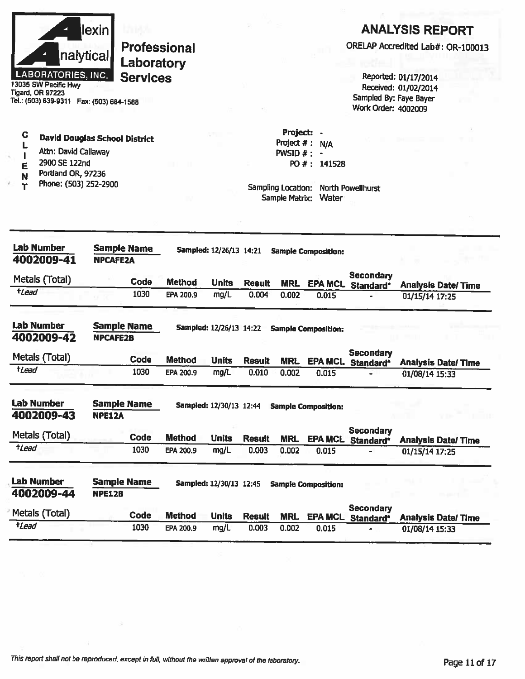| nalytical<br><b>LABORATORIES, INC.</b><br>13035 SW Pacific Hwy<br><b>Tigard, OR 97223</b><br>Tel.: (503) 639-9311  Fax: (503) 684-1588           | lexin           | Laboratory<br><b>Services</b> | <b>Professional</b>        |                         |                        |                                                                                   |                              | Work Order: 4002009           | <b>ANALYSIS REPORT</b><br>ORELAP Accredited Lab#: OR-100013<br>Reported: 01/17/2014<br>Received: 01/02/2014<br>Sampled By: Faye Bayer |
|--------------------------------------------------------------------------------------------------------------------------------------------------|-----------------|-------------------------------|----------------------------|-------------------------|------------------------|-----------------------------------------------------------------------------------|------------------------------|-------------------------------|---------------------------------------------------------------------------------------------------------------------------------------|
| C<br><b>David Douglas School District</b><br>Attn: David Callaway<br>2900 SE 122nd<br>E<br>Portland OR, 97236<br>N<br>Phone: (503) 252-2900<br>т |                 |                               |                            |                         |                        | Project:<br>Project $#:$<br>PWSID $#$ : -<br>Sampling Location:<br>Sample Matrix: | N/A<br>PO #: 141528<br>Water | North Powellhurst             |                                                                                                                                       |
| <b>Lab Number</b><br>4002009-41                                                                                                                  | <b>NPCAFE2A</b> | <b>Sample Name</b>            |                            | Sampled: 12/26/13 14:21 |                        |                                                                                   | <b>Sample Composition:</b>   |                               |                                                                                                                                       |
| Metals (Total)<br>$t$ <i>Lead</i>                                                                                                                |                 | Code<br>1030                  | <b>Method</b><br>EPA 200.9 | <b>Units</b><br>mg/L    | <b>Result</b><br>0.004 | <b>MRL</b><br>0.002                                                               | <b>EPA MCL</b><br>0.015      | <b>Secondary</b><br>Standard* | <b>Analysis Date/Time</b><br>01/15/14 17:25                                                                                           |
| <b>Lab Number</b><br>4002009-42                                                                                                                  | <b>NPCAFE2B</b> | <b>Sample Name</b>            |                            | Sampled: 12/26/13 14:22 |                        |                                                                                   | <b>Sample Composition:</b>   |                               |                                                                                                                                       |
| Metals (Total)<br>tLead                                                                                                                          |                 | Code<br>1030                  | <b>Method</b><br>EPA 200.9 | <b>Units</b>            | <b>Result</b><br>0.010 | <b>MRL</b>                                                                        | <b>EPA MCL</b>               | <b>Secondary</b><br>Standard* | <b>Analysis Date/Time</b>                                                                                                             |
|                                                                                                                                                  |                 |                               |                            | mg/L                    |                        | 0.002                                                                             | 0.015                        |                               | 01/08/14 15:33                                                                                                                        |
| <b>Lab Number</b><br>4002009-43                                                                                                                  | <b>NPE12A</b>   | <b>Sample Name</b>            |                            | Sampled: 12/30/13 12:44 |                        |                                                                                   | <b>Sample Composition:</b>   |                               | $1 - 112$                                                                                                                             |
| Metals (Total)                                                                                                                                   |                 | Code                          | <b>Method</b>              | <b>Units</b>            | <b>Result</b>          | <b>MRL</b>                                                                        | <b>EPA MCL</b>               | <b>Secondary</b>              |                                                                                                                                       |
| $t$ <i>Lead</i>                                                                                                                                  |                 | 1030                          | <b>EPA 200.9</b>           | mg/L                    | 0.003                  | 0.002                                                                             | 0.015                        | Standard*                     | <b>Analysis Date/Time</b><br>01/15/14 17:25                                                                                           |
| <b>Lab Number</b><br>4002009-44                                                                                                                  | <b>NPE12B</b>   | <b>Sample Name</b>            |                            | Sampled: 12/30/13 12:45 |                        |                                                                                   | <b>Sample Composition:</b>   |                               |                                                                                                                                       |
| Metals (Total)                                                                                                                                   |                 | Code                          | <b>Method</b>              | <b>Units</b>            | <b>Result</b>          | <b>MRL</b>                                                                        | <b>EPA MCL</b>               | <b>Secondary</b><br>Standard* | <b>Analysis Date/Time</b>                                                                                                             |
| tLead                                                                                                                                            |                 | 1030                          | EPA 200.9                  | mg/L                    | 0.003                  | 0.002                                                                             | 0.015                        |                               | 01/08/14 15:33                                                                                                                        |

 $\sim 10^{-1}$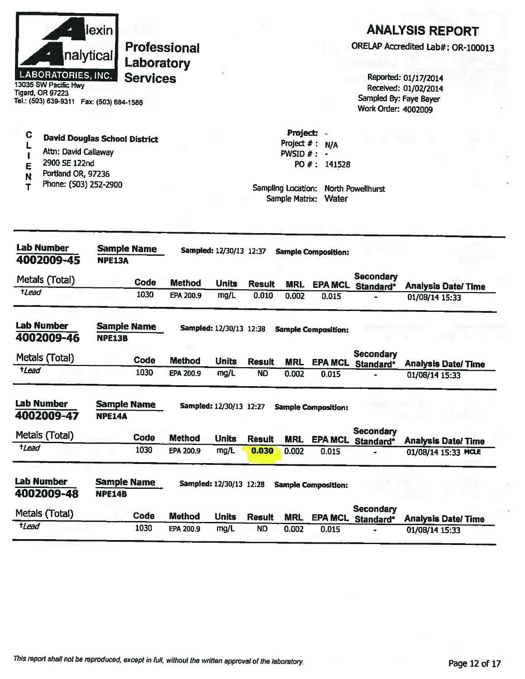|                 | nalytical<br><b>LABORATORIES, INC.</b><br>13035 SW Pacific Hwy<br><b>Tigard, OR 97223</b><br>Tel.: (503) 639-9311  Fax: (503) 684-1588 | lexin                               | Laboratory<br><b>Services</b> | <b>Professional</b> |                                |               |                                                                                      |                              | Sampled By: Faye Bayer<br>Work Order: 4002009 | <b>ANALYSIS REPORT</b><br>ORELAP Accredited Lab#: OR-100013<br>Reported: 01/17/2014<br>Received: 01/02/2014 |
|-----------------|----------------------------------------------------------------------------------------------------------------------------------------|-------------------------------------|-------------------------------|---------------------|--------------------------------|---------------|--------------------------------------------------------------------------------------|------------------------------|-----------------------------------------------|-------------------------------------------------------------------------------------------------------------|
| C<br>Е<br>N     | <b>David Douglas School District</b><br>Attn: David Callaway<br>2900 SE 122nd<br>Portland OR, 97236<br>Phone: (503) 252-2900           |                                     |                               |                     |                                |               | <b>Project:</b><br>Project $#$ :<br>PWSID #:<br>Sampling Location:<br>Sample Matrix: | N/A<br>PO #: 141528<br>Water | <b>North Powellhurst</b>                      |                                                                                                             |
|                 | <b>Lab Number</b><br>4002009-45                                                                                                        | <b>Sample Name</b><br><b>NPE13A</b> |                               |                     | Sampled: 12/30/13 12:37        |               |                                                                                      | <b>Sample Composition:</b>   |                                               |                                                                                                             |
|                 | Metals (Total)                                                                                                                         |                                     | Code                          | <b>Method</b>       | <b>Units</b>                   | <b>Result</b> | <b>MRL</b>                                                                           | <b>EPA MCL</b>               | <b>Secondary</b>                              |                                                                                                             |
| $t$ <i>Lead</i> |                                                                                                                                        |                                     | 1030                          | EPA 200.9           | mg/L                           | 0.010         | 0.002                                                                                | 0.015                        | Standard*                                     | <b>Analysis Date/Time</b><br>01/08/14 15:33                                                                 |
|                 | <b>Lab Number</b><br>4002009-46                                                                                                        | <b>Sample Name</b><br><b>NPE13B</b> |                               |                     | Sampled: 12/30/13 12:38        |               |                                                                                      | <b>Sample Composition:</b>   |                                               |                                                                                                             |
|                 | Metals (Total)                                                                                                                         |                                     | Code                          | <b>Method</b>       | <b>Units</b>                   | <b>Result</b> | <b>MRL</b>                                                                           |                              | <b>Secondary</b><br>EPA MCL Standard*         | <b>Analysis Date/Time</b>                                                                                   |
| $t$ Lead        |                                                                                                                                        |                                     | 1030                          | EPA 200.9           | mg/L                           | ND            | 0.002                                                                                | 0.015                        |                                               | 01/08/14 15:33                                                                                              |
|                 | <b>Lab Number</b><br>4002009-47                                                                                                        | <b>Sample Name</b><br><b>NPE14A</b> |                               |                     | <b>Sampled: 12/30/13 12:27</b> |               |                                                                                      | <b>Sample Composition:</b>   |                                               |                                                                                                             |
|                 | Metals (Total)                                                                                                                         |                                     | Code                          | <b>Method</b>       | <b>Units</b>                   | <b>Result</b> | <b>MRL</b>                                                                           | <b>EPA MCL</b>               | <b>Secondary</b>                              |                                                                                                             |
| tLead           |                                                                                                                                        |                                     | 1030                          | EPA 200.9           | mg/L                           | 0.030         | 0.002                                                                                | 0.015                        | Standard*                                     | <b>Analysis Date/Time</b><br>01/08/14 15:33 MCLE                                                            |
|                 | <b>Lab Number</b><br>4002009-48                                                                                                        | <b>Sample Name</b><br><b>NPE14B</b> |                               |                     | Sampled: 12/30/13 12:28        |               |                                                                                      | <b>Sample Composition:</b>   |                                               |                                                                                                             |
|                 | Metals (Total)                                                                                                                         |                                     | Code                          | <b>Method</b>       | <b>Units</b>                   | <b>Result</b> | <b>MRL</b>                                                                           | <b>EPA MCL</b>               | <b>Secondary</b><br>Standard*                 | <b>Analysis Date/Time</b>                                                                                   |
| tLead           |                                                                                                                                        |                                     | 1030                          | EPA 200.9           | mg/L                           | <b>ND</b>     | 0.002                                                                                | 0.015                        |                                               | 01/08/14 15:33                                                                                              |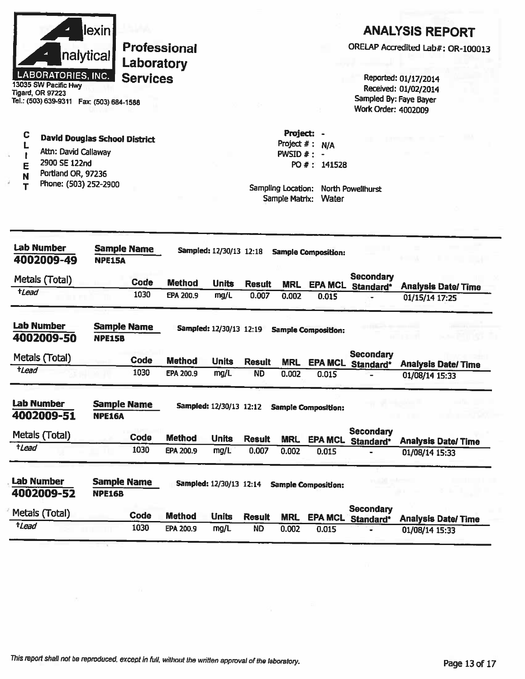|                           | lexinl    |
|---------------------------|-----------|
|                           | nalytical |
| <b>LABORATORIES, INC.</b> |           |

3035 SW Pacific Hwy **Tigard, OR 97223** Tel.: (503) 639-9311 Fax: (503) 684-1588

#### $\mathbf C$ **David Douglas School District**  $\mathbf{L}$

- Attn: David Callaway  $\mathbf{I}$
- 2900 SE 122nd E
- Portland OR, 97236 N
- Phone: (503) 252-2900  $\mathbf T$

# **ANALYSIS REPORT**

ORELAP Accredited Lab#: OR-100013

Reported: 01/17/2014 Received: 01/02/2014 Sampled By: Faye Bayer Work Order: 4002009

Project: -Project  $#: N/A$ PWSID  $#: -$ PO #: 141528

| Lab Number<br>4002009-49        | <b>Sample Name</b><br><b>NPE15A</b> |             |                  |                         |               |            |                            |                               |                           |
|---------------------------------|-------------------------------------|-------------|------------------|-------------------------|---------------|------------|----------------------------|-------------------------------|---------------------------|
| Metals (Total)                  |                                     | Code        | <b>Method</b>    | <b>Units</b>            | <b>Result</b> | <b>MRL</b> | <b>EPA MCL</b>             | <b>Secondary</b><br>Standard* | <b>Analysis Date/Time</b> |
| tLead                           |                                     | 1030        | EPA 200.9        | mg/L                    | 0.007         | 0.002      | 0.015                      |                               | 01/15/14 17:25            |
| <b>Lab Number</b><br>4002009-50 | <b>Sample Name</b><br><b>NPE15B</b> |             |                  | Sampled: 12/30/13 12:19 |               |            | <b>Sample Composition:</b> |                               |                           |
| Metals (Total)                  |                                     | <b>Code</b> | <b>Method</b>    | <b>Units</b>            | <b>Result</b> | <b>MRL</b> | <b>EPA MCL</b>             | <b>Secondary</b><br>Standard* | <b>Analysis Date/Time</b> |
| <i><b>tLead</b></i>             |                                     | 1030        | EPA 200.9        | mg/L                    | <b>ND</b>     | 0.002      | 0.015                      |                               | 01/08/14 15:33            |
| Lab Number<br>4002009-51        | <b>Sample Name</b><br><b>NPE16A</b> |             |                  | Sampled: 12/30/13 12:12 |               |            | <b>Sample Composition:</b> |                               |                           |
| Metals (Total)                  |                                     | Code        | <b>Method</b>    | <b>Units</b>            | <b>Result</b> | <b>MRL</b> | <b>EPA MCL</b>             | Secondary<br>Standard*        | <b>Analysis Date/Time</b> |
| tLead                           |                                     | 1030        | <b>EPA 200.9</b> | mg/L                    | 0.007         | 0.002      | 0.015                      |                               | 01/08/14 15:33            |
| <b>Lab Number</b><br>4002009-52 | <b>Sample Name</b><br><b>NPE16B</b> |             |                  | Sampled: 12/30/13 12:14 |               |            | <b>Sample Composition:</b> |                               |                           |
| Metals (Total)                  |                                     | <b>Code</b> | <b>Method</b>    | <b>Units</b>            | <b>Result</b> | <b>MRL</b> | <b>EPA MCL</b>             | <b>Secondary</b><br>Standard* | <b>Analysis Date/Time</b> |
| tLead                           |                                     | 1030        | EPA 200.9        | mg/L                    | <b>ND</b>     | 0.002      | 0.015                      |                               | 01/08/14 15:33            |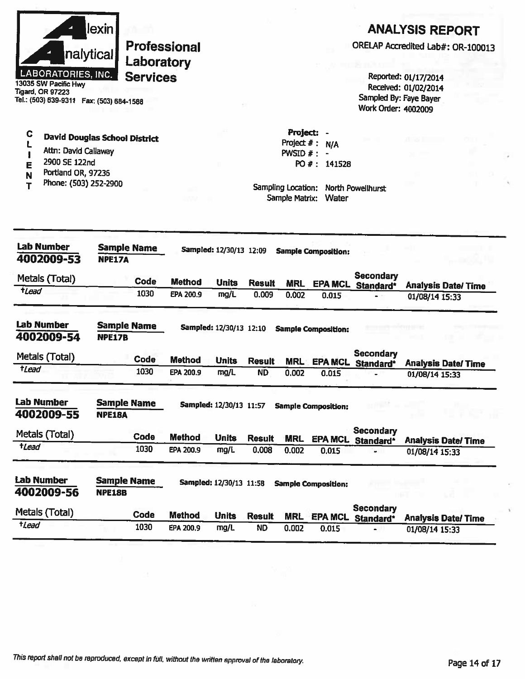

13035 SW Pacific Hwy **Tigard, OR 97223** Tel.: (503) 639-9311 Fax: (503) 684-1588

#### C **David Douglas School District** L

- Attn: David Callaway  $\blacksquare$
- 2900 SE 122nd E
- Portland OR, 97236 N
- Phone: (503) 252-2900  $\mathbf T$

# **ANALYSIS REPORT**

ORELAP Accredited Lab#: OR-100013

Reported: 01/17/2014 Received: 01/02/2014 Sampled By: Faye Bayer Work Order: 4002009

Project  $#: N/A$ PWSID  $#: -$ PO #: 141528

Project: -

| Lab Number<br>4002009-53        | <b>Sample Name</b><br><b>NPE17A</b> |             |               | Sampled: 12/30/13 12:09 |               |            | <b>Sample Composition:</b> |                               |                |                           |
|---------------------------------|-------------------------------------|-------------|---------------|-------------------------|---------------|------------|----------------------------|-------------------------------|----------------|---------------------------|
| Metals (Total)                  |                                     | Code        | <b>Method</b> | <b>Units</b>            | <b>Result</b> | <b>MRL</b> | <b>EPA MCL</b>             | <b>Secondary</b><br>Standard* |                | <b>Analysis Date/Time</b> |
| $t$ Lead                        |                                     | 1030        | EPA 200.9     | mg/L                    | 0.009         | 0.002      | 0.015                      |                               | 01/08/14 15:33 |                           |
| <b>Lab Number</b><br>4002009-54 | Sample Name<br><b>NPE17B</b>        |             |               | Sampled: 12/30/13 12:10 |               |            | <b>Sample Composition:</b> |                               |                |                           |
| Metals (Total)                  |                                     | Code        | <b>Method</b> | <b>Units</b>            | <b>Result</b> | <b>MRL</b> | <b>EPA MCL</b>             | <b>Secondary</b><br>Standard* |                | <b>Analysis Date/Time</b> |
| <i><b>tLead</b></i>             |                                     | 1030        | EPA 200.9     | mg/L                    | <b>ND</b>     | 0.002      | 0.015                      |                               | 01/08/14 15:33 |                           |
| <b>Lab Number</b><br>4002009-55 | <b>Sample Name</b><br><b>NPE18A</b> |             |               | Sampled: 12/30/13 11:57 |               |            | <b>Sample Composition:</b> |                               |                |                           |
| Metals (Total)                  |                                     | Code        | <b>Method</b> | <b>Units</b>            | <b>Result</b> | <b>MRL</b> | <b>EPA MCL</b>             | <b>Secondary</b><br>Standard* |                | <b>Analysis Date/Time</b> |
| <i><b>tLead</b></i>             |                                     | 1030        | EPA 200.9     | mg/L                    | 0.008         | 0.002      | 0.015                      |                               | 01/08/14 15:33 |                           |
| <b>Lab Number</b><br>4002009-56 | <b>Sample Name</b><br><b>NPE18B</b> |             |               | Sampled: 12/30/13 11:58 |               |            | <b>Sample Composition:</b> |                               |                |                           |
| Metals (Total)                  |                                     | <b>Code</b> | <b>Method</b> | <b>Units</b>            | <b>Result</b> | <b>MRL</b> | <b>EPA MCL</b>             | Secondary<br>Standard*        |                | <b>Analysis Date/Time</b> |
| tLead                           |                                     | 1030        | EPA 200.9     | mg/L                    | <b>ND</b>     | 0.002      | 0.015                      |                               | 01/08/14 15:33 |                           |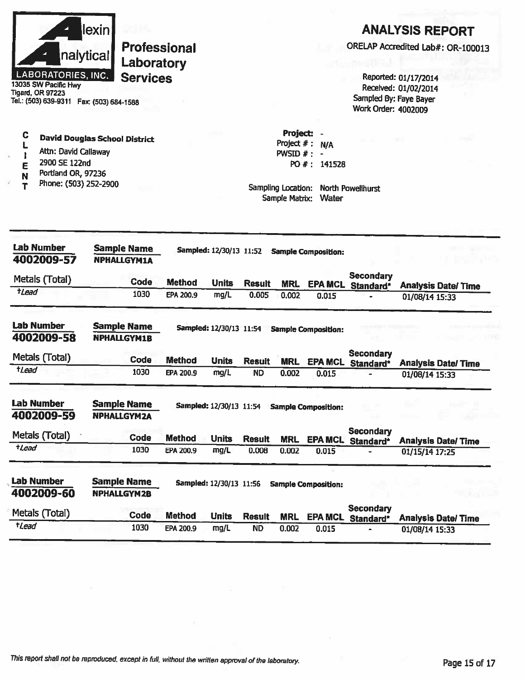|                                                                             | 1030                                     | EPA 200.9           | mg/L                           | <b>ND</b>     | 0.002                                | 0.015                      |                                               | 01/08/14 15:33                               |                                   |
|-----------------------------------------------------------------------------|------------------------------------------|---------------------|--------------------------------|---------------|--------------------------------------|----------------------------|-----------------------------------------------|----------------------------------------------|-----------------------------------|
| Metals (Total)<br>tLead                                                     | Code                                     | <b>Method</b>       | <b>Units</b>                   | <b>Result</b> | <b>MRL</b>                           | <b>EPA MCL</b>             | Standard*                                     |                                              | <b>Analysis Date/Time</b>         |
| 4002009-60                                                                  | <b>NPHALLGYM2B</b>                       |                     | <b>Sampled: 12/30/13 11:56</b> |               |                                      | <b>Sample Composition:</b> | <b>Secondary</b>                              |                                              |                                   |
| <b>Lab Number</b>                                                           | <b>Sample Name</b>                       |                     |                                |               |                                      |                            |                                               |                                              |                                   |
|                                                                             | 1030                                     | EPA 200.9           | mg/L                           | 0.008         | 0.002                                | 0.015                      |                                               | 01/15/14 17:25                               |                                   |
| Metals (Total)<br>$t$ <i>Lead</i>                                           | <b>Code</b>                              | <b>Method</b>       | <b>Units</b>                   | <b>Result</b> | <b>MRL</b>                           |                            | EPA MCL Standard*                             |                                              | <b>Analysis Date/Time</b>         |
|                                                                             |                                          |                     |                                |               |                                      |                            | Secondary                                     |                                              |                                   |
| 4002009-59                                                                  | <b>NPHALLGYM2A</b>                       |                     |                                |               |                                      | <b>Sample Composition:</b> |                                               |                                              | <b>DATE I</b>                     |
| <b>Lab Number</b>                                                           | <b>Sample Name</b>                       |                     | Sampled: 12/30/13 11:54        |               |                                      |                            |                                               |                                              |                                   |
| $t$ <i>Lead</i>                                                             | 1030                                     | EPA 200.9           | mg/L                           | <b>ND</b>     | 0.002                                | 0.015                      |                                               | 01/08/14 15:33                               |                                   |
| Metals (Total)                                                              | Code                                     | <b>Method</b>       | <b>Units</b>                   | <b>Result</b> | <b>MRL</b>                           |                            | <b>Secondary</b><br>EPA MCL Standard*         |                                              | <b>Analysis Date/ Time</b>        |
| <b>Lab Number</b><br>4002009-58                                             | <b>Sample Name</b><br><b>NPHALLGYM1B</b> |                     | Sampled: 12/30/13 11:54        |               |                                      | <b>Sample Composition:</b> |                                               |                                              |                                   |
|                                                                             |                                          |                     |                                |               |                                      |                            |                                               |                                              |                                   |
| $t$ <i>Lead</i>                                                             | 1030                                     | EPA 200.9           | mg/L                           | 0.005         | 0.002                                | 0.015                      | Standard*                                     | 01/08/14 15:33                               | <b>Analysis Date/Time</b>         |
| Metals (Total)                                                              | <b>Code</b>                              | <b>Method</b>       | <b>Units</b>                   | <b>Result</b> | <b>MRL</b>                           | <b>EPA MCL</b>             | <b>Secondary</b>                              |                                              |                                   |
| <b>Lab Number</b><br>4002009-57                                             | <b>Sample Name</b><br><b>NPHALLGYM1A</b> |                     | Sampled: 12/30/13 11:52        |               |                                      | <b>Sample Composition:</b> |                                               |                                              |                                   |
|                                                                             |                                          |                     |                                |               | Sampling Location:<br>Sample Matrix: | Water                      | North Powellhurst                             |                                              |                                   |
| 2900 SE 122nd<br>E<br>Portland OR, 97236<br>N<br>Phone: (503) 252-2900<br>т |                                          |                     |                                |               |                                      | PO #: 141528               |                                               |                                              |                                   |
| Attn: David Callaway                                                        |                                          |                     |                                |               | Project $#$ :<br>PWSID #:            | N/A                        |                                               |                                              |                                   |
| С                                                                           | <b>David Douglas School District</b>     |                     |                                |               | Project:                             |                            |                                               |                                              |                                   |
| Tigard, OR 97223<br>Tel.: (503) 639-9311  Fax: (503) 684-1588               |                                          |                     |                                |               |                                      |                            | Sampled By: Faye Bayer<br>Work Order: 4002009 |                                              |                                   |
| <b>LABORATORIES, INC.</b><br>13035 SW Pacific Hwy                           | <b>Services</b>                          |                     |                                |               |                                      |                            |                                               | Reported: 01/17/2014<br>Received: 01/02/2014 |                                   |
|                                                                             | Laboratory                               |                     |                                |               |                                      |                            |                                               |                                              |                                   |
| nalytical                                                                   |                                          | <b>Professional</b> |                                |               |                                      |                            |                                               |                                              | ORELAP Accredited Lab#: OR-100013 |
|                                                                             |                                          |                     |                                |               |                                      |                            |                                               |                                              |                                   |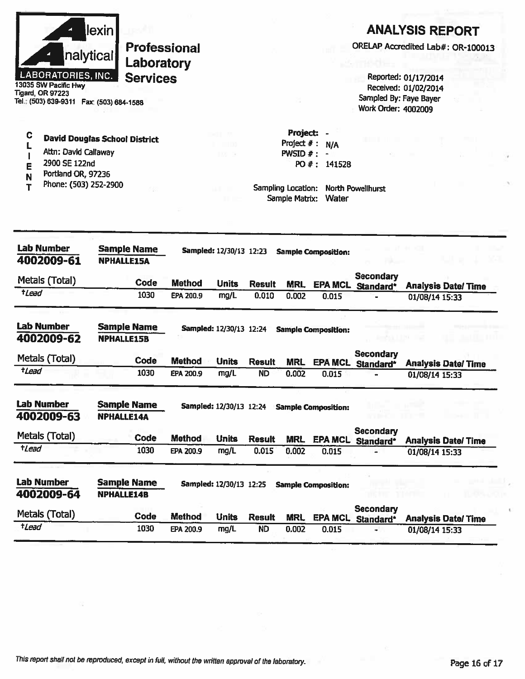

13035 SW Pacific Hwy **Tigard, OR 97223** Tel.: (503) 639-9311 Fax: (503) 684-1588

### **ANALYSIS REPORT**

ORELAP Accredited Lab#: OR-100013

Reported: 01/17/2014 Received: 01/02/2014 Sampled By: Faye Bayer **Work Order: 4002009** 

C **David Douglas School District** L Attn: David Callaway  $\overline{1}$ 

- 2900 SE 122nd Ē
- Portland OR, 97236 N
- Phone: (503) 252-2900 T

Project # : N/A PWSID  $# : -$ PO #: 141528

Project: -

| <b>Lab Number</b><br>4002009-61 | <b>Sample Name</b><br><b>NPHALLE15A</b> | Sampled: 12/30/13 12:23<br><b>Sample Composition:</b> |                                |               |            |                            |                               |                           |  |
|---------------------------------|-----------------------------------------|-------------------------------------------------------|--------------------------------|---------------|------------|----------------------------|-------------------------------|---------------------------|--|
| Metals (Total)                  | Code                                    | Method                                                | <b>Units</b>                   | <b>Result</b> | <b>MRL</b> | <b>EPA MCL</b>             | <b>Secondary</b><br>Standard* | <b>Analysis Date/Time</b> |  |
| <i><b>tLead</b></i>             | 1030                                    | EPA 200.9                                             | mg/L                           | 0.010         | 0.002      | 0.015                      |                               | 01/08/14 15:33            |  |
| <b>Lab Number</b><br>4002009-62 | <b>Sample Name</b><br><b>NPHALLE15B</b> |                                                       | Sampled: 12/30/13 12:24        |               |            | <b>Sample Composition:</b> |                               |                           |  |
| Metals (Total)                  | Code                                    | <b>Method</b>                                         | <b>Units</b>                   | <b>Result</b> | <b>MRL</b> | <b>EPA MCL</b>             | <b>Secondary</b><br>Standard* | <b>Analysis Date/Time</b> |  |
| tLead                           | 1030                                    | EPA 200.9                                             | mg/L                           | <b>ND</b>     | 0.002      | 0.015                      |                               | 01/08/14 15:33            |  |
| <b>Lab Number</b><br>4002009-63 | <b>Sample Name</b><br><b>NPHALLE14A</b> |                                                       | <b>Sampled: 12/30/13 12:24</b> |               |            | <b>Sample Composition:</b> |                               |                           |  |
| Metals (Total)                  | Code                                    | <b>Method</b>                                         | <b>Units</b>                   | <b>Result</b> | <b>MRL</b> | <b>EPA MCL</b>             | <b>Secondary</b><br>Standard* | <b>Analysis Date/Time</b> |  |
| <i>tLead</i>                    | 1030                                    | EPA 200.9                                             | mg/L                           | 0.015         | 0.002      | 0.015                      |                               | 01/08/14 15:33            |  |
| Lab Number<br>4002009-64        | <b>Sample Name</b><br>NPHALLE14B        |                                                       | Sampled: 12/30/13 12:25        |               |            | <b>Sample Composition:</b> |                               |                           |  |
| Metals (Total)                  | Code                                    | <b>Method</b>                                         | <b>Units</b>                   | <b>Result</b> | <b>MRL</b> | <b>EPA MCL</b>             | <b>Secondary</b><br>Standard* | <b>Analysis Date/Time</b> |  |
| <i>t</i> Lead                   | 1030                                    | EPA 200.9                                             | mg/L                           | <b>ND</b>     | 0.002      | 0.015                      |                               | 01/08/14 15:33            |  |